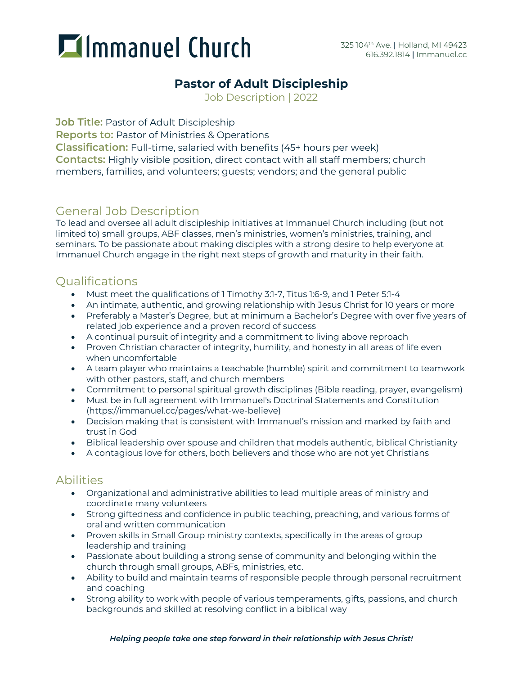# **Immanuel Church**

### **Pastor of Adult Discipleship**

Job Description | 2022

**Job Title:** Pastor of Adult Discipleship

**Reports to:** Pastor of Ministries & Operations

**Classification:** Full-time, salaried with benefits (45+ hours per week) **Contacts:** Highly visible position, direct contact with all staff members; church members, families, and volunteers; guests; vendors; and the general public

### General Job Description

To lead and oversee all adult discipleship initiatives at Immanuel Church including (but not limited to) small groups, ABF classes, men's ministries, women's ministries, training, and seminars. To be passionate about making disciples with a strong desire to help everyone at Immanuel Church engage in the right next steps of growth and maturity in their faith.

#### **Oualifications**

- Must meet the qualifications of 1 Timothy 3:1-7, Titus 1:6-9, and 1 Peter 5:1-4
- An intimate, authentic, and growing relationship with Jesus Christ for 10 years or more
- Preferably a Master's Degree, but at minimum a Bachelor's Degree with over five years of related job experience and a proven record of success
- A continual pursuit of integrity and a commitment to living above reproach
- Proven Christian character of integrity, humility, and honesty in all areas of life even when uncomfortable
- A team player who maintains a teachable (humble) spirit and commitment to teamwork with other pastors, staff, and church members
- Commitment to personal spiritual growth disciplines (Bible reading, prayer, evangelism)
- Must be in full agreement with Immanuel's Doctrinal Statements and Constitution (https://immanuel.cc/pages/what-we-believe)
- Decision making that is consistent with Immanuel's mission and marked by faith and trust in God
- Biblical leadership over spouse and children that models authentic, biblical Christianity
- A contagious love for others, both believers and those who are not yet Christians

### Abilities

- Organizational and administrative abilities to lead multiple areas of ministry and coordinate many volunteers
- Strong giftedness and confidence in public teaching, preaching, and various forms of oral and written communication
- Proven skills in Small Group ministry contexts, specifically in the areas of group leadership and training
- Passionate about building a strong sense of community and belonging within the church through small groups, ABFs, ministries, etc.
- Ability to build and maintain teams of responsible people through personal recruitment and coaching
- Strong ability to work with people of various temperaments, gifts, passions, and church backgrounds and skilled at resolving conflict in a biblical way

#### *Helping people take one step forward in their relationship with Jesus Christ!*